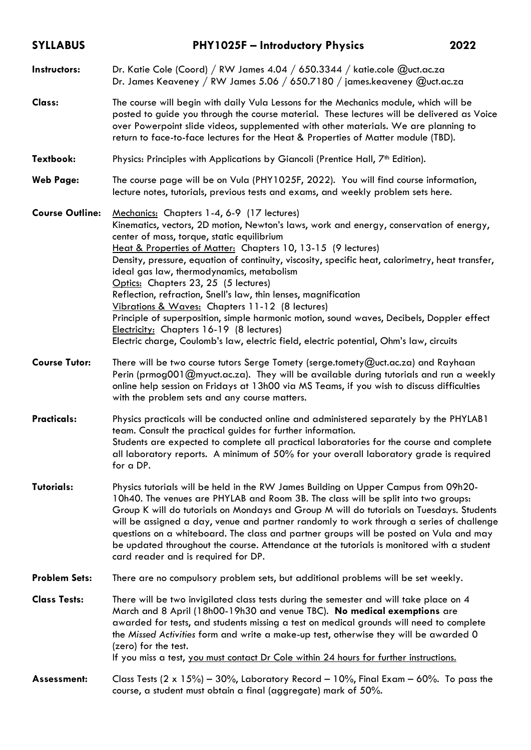| <b>SYLLABUS</b>        | <b>PHY1025F - Introductory Physics</b>                                                                                                                                                                                                                                                                                                                                                                                                                                                                                                                                                                                                                                                                                                                                                                 | 2022 |
|------------------------|--------------------------------------------------------------------------------------------------------------------------------------------------------------------------------------------------------------------------------------------------------------------------------------------------------------------------------------------------------------------------------------------------------------------------------------------------------------------------------------------------------------------------------------------------------------------------------------------------------------------------------------------------------------------------------------------------------------------------------------------------------------------------------------------------------|------|
| Instructors:           | Dr. Katie Cole (Coord) / RW James 4.04 / 650.3344 / katie.cole @uct.ac.za<br>Dr. James Keaveney / RW James 5.06 / 650.7180 / james.keaveney @uct.ac.za                                                                                                                                                                                                                                                                                                                                                                                                                                                                                                                                                                                                                                                 |      |
| Class:                 | The course will begin with daily Vula Lessons for the Mechanics module, which will be<br>posted to guide you through the course material. These lectures will be delivered as Voice<br>over Powerpoint slide videos, supplemented with other materials. We are planning to<br>return to face-to-face lectures for the Heat & Properties of Matter module (TBD).                                                                                                                                                                                                                                                                                                                                                                                                                                        |      |
| Textbook:              | Physics: Principles with Applications by Giancoli (Prentice Hall, 7 <sup>th</sup> Edition).                                                                                                                                                                                                                                                                                                                                                                                                                                                                                                                                                                                                                                                                                                            |      |
| <b>Web Page:</b>       | The course page will be on Vula (PHY1025F, 2022). You will find course information,<br>lecture notes, tutorials, previous tests and exams, and weekly problem sets here.                                                                                                                                                                                                                                                                                                                                                                                                                                                                                                                                                                                                                               |      |
| <b>Course Outline:</b> | Mechanics: Chapters 1-4, 6-9 (17 lectures)<br>Kinematics, vectors, 2D motion, Newton's laws, work and energy, conservation of energy,<br>center of mass, torque, static equilibrium<br>Heat & Properties of Matter: Chapters 10, 13-15 (9 lectures)<br>Density, pressure, equation of continuity, viscosity, specific heat, calorimetry, heat transfer,<br>ideal gas law, thermodynamics, metabolism<br>Optics: Chapters 23, 25 (5 lectures)<br>Reflection, refraction, Snell's law, thin lenses, magnification<br>Vibrations & Waves: Chapters 11-12 (8 lectures)<br>Principle of superposition, simple harmonic motion, sound waves, Decibels, Doppler effect<br>Electricity: Chapters 16-19 (8 lectures)<br>Electric charge, Coulomb's law, electric field, electric potential, Ohm's law, circuits |      |
| <b>Course Tutor:</b>   | There will be two course tutors Serge Tomety (serge.tomety@uct.ac.za) and Rayhaan<br>Perin (prmog001@myuct.ac.za). They will be available during tutorials and run a weekly<br>online help session on Fridays at 13h00 via MS Teams, if you wish to discuss difficulties<br>with the problem sets and any course matters.                                                                                                                                                                                                                                                                                                                                                                                                                                                                              |      |
| <b>Practicals:</b>     | Physics practicals will be conducted online and administered separately by the PHYLAB1<br>team. Consult the practical guides for further information.<br>Students are expected to complete all practical laboratories for the course and complete<br>all laboratory reports. A minimum of 50% for your overall laboratory grade is required<br>for a DP.                                                                                                                                                                                                                                                                                                                                                                                                                                               |      |
| <b>Tutorials:</b>      | Physics tutorials will be held in the RW James Building on Upper Campus from 09h20-<br>10h40. The venues are PHYLAB and Room 3B. The class will be split into two groups:<br>Group K will do tutorials on Mondays and Group M will do tutorials on Tuesdays. Students<br>will be assigned a day, venue and partner randomly to work through a series of challenge<br>questions on a whiteboard. The class and partner groups will be posted on Vula and may<br>be updated throughout the course. Attendance at the tutorials is monitored with a student<br>card reader and is required for DP.                                                                                                                                                                                                        |      |
| <b>Problem Sets:</b>   | There are no compulsory problem sets, but additional problems will be set weekly.                                                                                                                                                                                                                                                                                                                                                                                                                                                                                                                                                                                                                                                                                                                      |      |
| <b>Class Tests:</b>    | There will be two invigilated class tests during the semester and will take place on 4<br>March and 8 April (18h00-19h30 and venue TBC). No medical exemptions are<br>awarded for tests, and students missing a test on medical grounds will need to complete<br>the Missed Activities form and write a make-up test, otherwise they will be awarded 0<br>(zero) for the test.<br>If you miss a test, you must contact Dr Cole within 24 hours for further instructions.                                                                                                                                                                                                                                                                                                                               |      |
| Assessment:            | Class Tests (2 x 15%) – 30%, Laboratory Record – 10%, Final Exam – 60%. To pass the<br>course, a student must obtain a final (aggregate) mark of 50%.                                                                                                                                                                                                                                                                                                                                                                                                                                                                                                                                                                                                                                                  |      |